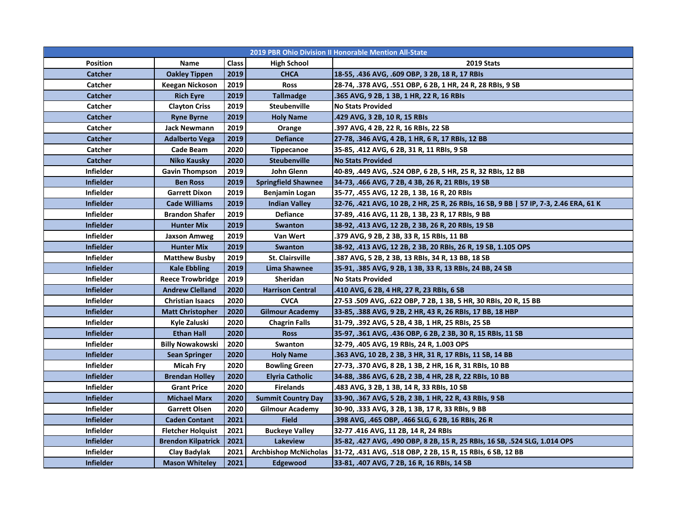| <b>2019 PBR Ohio Division II Honorable Mention All-State</b> |                           |       |                              |                                                                                       |  |  |  |
|--------------------------------------------------------------|---------------------------|-------|------------------------------|---------------------------------------------------------------------------------------|--|--|--|
| <b>Position</b>                                              | Name                      | Class | <b>High School</b>           | <b>2019 Stats</b>                                                                     |  |  |  |
| Catcher                                                      | <b>Oakley Tippen</b>      | 2019  | <b>CHCA</b>                  | 18-55, .436 AVG, .609 OBP, 3 2B, 18 R, 17 RBIs                                        |  |  |  |
| Catcher                                                      | <b>Keegan Nickoson</b>    | 2019  | <b>Ross</b>                  | 28-74, .378 AVG, .551 OBP, 6 2B, 1 HR, 24 R, 28 RBIs, 9 SB                            |  |  |  |
| Catcher                                                      | <b>Rich Eyre</b>          | 2019  | <b>Tallmadge</b>             | .365 AVG, 9 2B, 1 3B, 1 HR, 22 R, 16 RBIs                                             |  |  |  |
| Catcher                                                      | <b>Clayton Criss</b>      | 2019  | <b>Steubenville</b>          | <b>No Stats Provided</b>                                                              |  |  |  |
| Catcher                                                      | <b>Ryne Byrne</b>         | 2019  | <b>Holy Name</b>             | .429 AVG, 3 2B, 10 R, 15 RBIs                                                         |  |  |  |
| Catcher                                                      | <b>Jack Newmann</b>       | 2019  | Orange                       | .397 AVG, 4 2B, 22 R, 16 RBIs, 22 SB                                                  |  |  |  |
| Catcher                                                      | <b>Adalberto Vega</b>     | 2019  | <b>Defiance</b>              | 27-78, .346 AVG, 4 2B, 1 HR, 6 R, 17 RBIs, 12 BB                                      |  |  |  |
| Catcher                                                      | Cade Beam                 | 2020  | <b>Tippecanoe</b>            | 35-85, .412 AVG, 6 2B, 31 R, 11 RBIs, 9 SB                                            |  |  |  |
| Catcher                                                      | Niko Kausky               | 2020  | <b>Steubenville</b>          | <b>No Stats Provided</b>                                                              |  |  |  |
| <b>Infielder</b>                                             | <b>Gavin Thompson</b>     | 2019  | John Glenn                   | 40-89, .449 AVG, .524 OBP, 6 2B, 5 HR, 25 R, 32 RBIs, 12 BB                           |  |  |  |
| <b>Infielder</b>                                             | <b>Ben Ross</b>           | 2019  | <b>Springfield Shawnee</b>   | 34-73, .466 AVG, 7 2B, 4 3B, 26 R, 21 RBIs, 19 SB                                     |  |  |  |
| <b>Infielder</b>                                             | <b>Garrett Dixon</b>      | 2019  | Benjamin Logan               | 35-77, .455 AVG, 12 2B, 1 3B, 16 R, 20 RBIs                                           |  |  |  |
| <b>Infielder</b>                                             | <b>Cade Williams</b>      | 2019  | <b>Indian Valley</b>         | 32-76, .421 AVG, 10 2B, 2 HR, 25 R, 26 RBIs, 16 SB, 9 BB   57 IP, 7-3, 2.46 ERA, 61 K |  |  |  |
| <b>Infielder</b>                                             | <b>Brandon Shafer</b>     | 2019  | Defiance                     | 37-89, .416 AVG, 11 2B, 1 3B, 23 R, 17 RBIs, 9 BB                                     |  |  |  |
| <b>Infielder</b>                                             | Hunter Mix                | 2019  | Swanton                      | 38-92, .413 AVG, 12 2B, 2 3B, 26 R, 20 RBIs, 19 SB                                    |  |  |  |
| <b>Infielder</b>                                             | Jaxson Amweg              | 2019  | Van Wert                     | .379 AVG, 9 2B, 2 3B, 33 R, 15 RBIs, 11 BB                                            |  |  |  |
| <b>Infielder</b>                                             | <b>Hunter Mix</b>         | 2019  | Swanton                      | 38-92, .413 AVG, 12 2B, 2 3B, 20 RBIs, 26 R, 19 SB, 1.105 OPS                         |  |  |  |
| <b>Infielder</b>                                             | <b>Matthew Busby</b>      | 2019  | St. Clairsville              | .387 AVG, 5 2B, 2 3B, 13 RBIs, 34 R, 13 BB, 18 SB                                     |  |  |  |
| <b>Infielder</b>                                             | <b>Kale Ebbling</b>       | 2019  | Lima Shawnee                 | 35-91, .385 AVG, 9 2B, 1 3B, 33 R, 13 RBIs, 24 BB, 24 SB                              |  |  |  |
| <b>Infielder</b>                                             | <b>Reece Trowbridge</b>   | 2019  | Sheridan                     | <b>No Stats Provided</b>                                                              |  |  |  |
| <b>Infielder</b>                                             | <b>Andrew Clelland</b>    | 2020  | <b>Harrison Central</b>      | .410 AVG, 6 2B, 4 HR, 27 R, 23 RBIs, 6 SB                                             |  |  |  |
| <b>Infielder</b>                                             | <b>Christian Isaacs</b>   | 2020  | <b>CVCA</b>                  | 27-53 .509 AVG, .622 OBP, 7 2B, 1 3B, 5 HR, 30 RBIs, 20 R, 15 BB                      |  |  |  |
| <b>Infielder</b>                                             | <b>Matt Christopher</b>   | 2020  | <b>Gilmour Academy</b>       | 33-85, .388 AVG, 9 2B, 2 HR, 43 R, 26 RBIs, 17 BB, 18 HBP                             |  |  |  |
| <b>Infielder</b>                                             | Kyle Zaluski              | 2020  | <b>Chagrin Falls</b>         | 31-79, .392 AVG, 5 2B, 4 3B, 1 HR, 25 RBIs, 25 SB                                     |  |  |  |
| <b>Infielder</b>                                             | <b>Ethan Hall</b>         | 2020  | <b>Ross</b>                  | 35-97, .361 AVG, .436 OBP, 6 2B, 2 3B, 30 R, 15 RBIs, 11 SB                           |  |  |  |
| <b>Infielder</b>                                             | <b>Billy Nowakowski</b>   | 2020  | Swanton                      | 32-79, .405 AVG, 19 RBIs, 24 R, 1.003 OPS                                             |  |  |  |
| <b>Infielder</b>                                             | Sean Springer             | 2020  | <b>Holy Name</b>             | .363 AVG, 10 2B, 2 3B, 3 HR, 31 R, 17 RBIs, 11 SB, 14 BB                              |  |  |  |
| <b>Infielder</b>                                             | Micah Fry                 | 2020  | <b>Bowling Green</b>         | 27-73, .370 AVG, 8 2B, 1 3B, 2 HR, 16 R, 31 RBIs, 10 BB                               |  |  |  |
| <b>Infielder</b>                                             | <b>Brendan Holley</b>     | 2020  | <b>Elyria Catholic</b>       | 34-88, .386 AVG, 6 2B, 2 3B, 4 HR, 28 R, 22 RBIs, 10 BB                               |  |  |  |
| <b>Infielder</b>                                             | <b>Grant Price</b>        | 2020  | <b>Firelands</b>             | .483 AVG, 3 2B, 1 3B, 14 R, 33 RBIs, 10 SB                                            |  |  |  |
| <b>Infielder</b>                                             | <b>Michael Marx</b>       | 2020  | <b>Summit Country Day</b>    | 33-90, .367 AVG, 5 2B, 2 3B, 1 HR, 22 R, 43 RBIs, 9 SB                                |  |  |  |
| <b>Infielder</b>                                             | <b>Garrett Olsen</b>      | 2020  | <b>Gilmour Academy</b>       | 30-90, .333 AVG, 3 2B, 1 3B, 17 R, 33 RBIs, 9 BB                                      |  |  |  |
| <b>Infielder</b>                                             | <b>Caden Contant</b>      | 2021  | <b>Field</b>                 | .398 AVG, .465 OBP, .466 SLG, 6 2B, 16 RBIs, 26 R                                     |  |  |  |
| <b>Infielder</b>                                             | <b>Fletcher Holquist</b>  | 2021  | <b>Buckeye Valley</b>        | 32-77 .416 AVG, 11 2B, 14 R, 24 RBIs                                                  |  |  |  |
| <b>Infielder</b>                                             | <b>Brendon Kilpatrick</b> | 2021  | Lakeview                     | 35-82, .427 AVG, .490 OBP, 8 2B, 15 R, 25 RBIs, 16 SB, .524 SLG, 1.014 OPS            |  |  |  |
| <b>Infielder</b>                                             | Clay Badylak              | 2021  | <b>Archbishop McNicholas</b> | 31-72, .431 AVG, .518 OBP, 2 2B, 15 R, 15 RBIs, 6 SB, 12 BB                           |  |  |  |
| <b>Infielder</b>                                             | <b>Mason Whiteley</b>     | 2021  | Edgewood                     | 33-81, .407 AVG, 7 2B, 16 R, 16 RBIs, 14 SB                                           |  |  |  |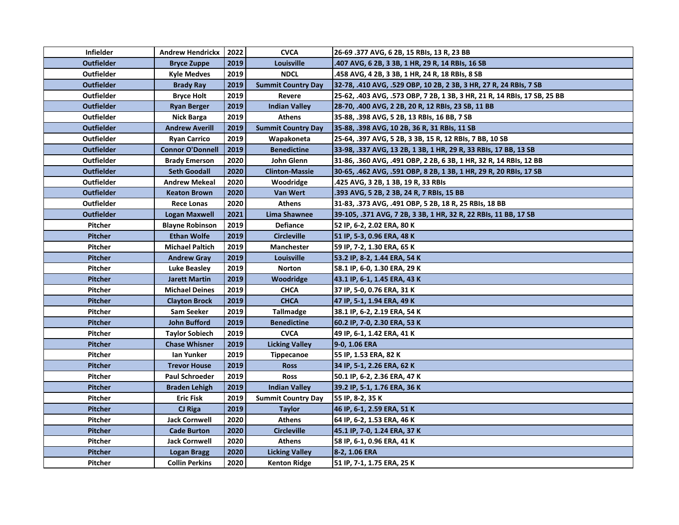| <b>Infielder</b>  | <b>Andrew Hendrickx</b> | 2022 | <b>CVCA</b>               | 26-69 .377 AVG, 6 2B, 15 RBIs, 13 R, 23 BB                               |
|-------------------|-------------------------|------|---------------------------|--------------------------------------------------------------------------|
| <b>Outfielder</b> | <b>Bryce Zuppe</b>      | 2019 | Louisville                | .407 AVG, 6 2B, 3 3B, 1 HR, 29 R, 14 RBIs, 16 SB                         |
| <b>Outfielder</b> | <b>Kyle Medves</b>      | 2019 | <b>NDCL</b>               | .458 AVG, 4 2B, 3 3B, 1 HR, 24 R, 18 RBIs, 8 SB                          |
| <b>Outfielder</b> | <b>Brady Ray</b>        | 2019 | <b>Summit Country Day</b> | 32-78, .410 AVG, .529 OBP, 10 2B, 2 3B, 3 HR, 27 R, 24 RBIs, 7 SB        |
| Outfielder        | <b>Bryce Holt</b>       | 2019 | Revere                    | 25-62, .403 AVG, .573 OBP, 7 2B, 1 3B, 3 HR, 21 R, 14 RBIs, 17 SB, 25 BB |
| <b>Outfielder</b> | <b>Ryan Berger</b>      | 2019 | <b>Indian Valley</b>      | 28-70, .400 AVG, 2 2B, 20 R, 12 RBIs, 23 SB, 11 BB                       |
| <b>Outfielder</b> | Nick Barga              | 2019 | <b>Athens</b>             | 35-88, .398 AVG, 5 2B, 13 RBIs, 16 BB, 7 SB                              |
| <b>Outfielder</b> | <b>Andrew Averill</b>   | 2019 | <b>Summit Country Day</b> | 35-88, .398 AVG, 10 2B, 36 R, 31 RBIs, 11 SB                             |
| <b>Outfielder</b> | <b>Ryan Carrico</b>     | 2019 | Wapakoneta                | 25-64, .397 AVG, 5 2B, 3 3B, 15 R, 12 RBIs, 7 BB, 10 SB                  |
| <b>Outfielder</b> | <b>Connor O'Donnell</b> | 2019 | <b>Benedictine</b>        | 33-98, .337 AVG, 13 2B, 1 3B, 1 HR, 29 R, 33 RBIs, 17 BB, 13 SB          |
| <b>Outfielder</b> | <b>Brady Emerson</b>    | 2020 | John Glenn                | 31-86, .360 AVG, .491 OBP, 2 2B, 6 3B, 1 HR, 32 R, 14 RBIs, 12 BB        |
| <b>Outfielder</b> | <b>Seth Goodall</b>     | 2020 | <b>Clinton-Massie</b>     | 30-65, .462 AVG, .591 OBP, 8 2B, 1 3B, 1 HR, 29 R, 20 RBIs, 17 SB        |
| <b>Outfielder</b> | <b>Andrew Mekeal</b>    | 2020 | Woodridge                 | .425 AVG, 3 2B, 1 3B, 19 R, 33 RBIs                                      |
| <b>Outfielder</b> | Keaton Brown            | 2020 | <b>Van Wert</b>           | .393 AVG, 5 2B, 2 3B, 24 R, 7 RBIs, 15 BB                                |
| <b>Outfielder</b> | <b>Rece Lonas</b>       | 2020 | <b>Athens</b>             | 31-83, .373 AVG, .491 OBP, 5 2B, 18 R, 25 RBIs, 18 BB                    |
| <b>Outfielder</b> | Logan Maxwell           | 2021 | Lima Shawnee              | 39-105, .371 AVG, 7 2B, 3 3B, 1 HR, 32 R, 22 RBIs, 11 BB, 17 SB          |
| <b>Pitcher</b>    | <b>Blayne Robinson</b>  | 2019 | <b>Defiance</b>           | 52 IP, 6-2, 2.02 ERA, 80 K                                               |
| <b>Pitcher</b>    | <b>Ethan Wolfe</b>      | 2019 | <b>Circleville</b>        | 51 IP, 5-3, 0.96 ERA, 48 K                                               |
| Pitcher           | <b>Michael Paltich</b>  | 2019 | Manchester                | 59 IP, 7-2, 1.30 ERA, 65 K                                               |
| <b>Pitcher</b>    | <b>Andrew Gray</b>      | 2019 | Louisville                | 53.2 IP, 8-2, 1.44 ERA, 54 K                                             |
| Pitcher           | Luke Beasley            | 2019 | Norton                    | 58.1 IP, 6-0, 1.30 ERA, 29 K                                             |
| <b>Pitcher</b>    | <b>Jarett Martin</b>    | 2019 | Woodridge                 | 43.1 IP, 6-1, 1.45 ERA, 43 K                                             |
| <b>Pitcher</b>    | <b>Michael Deines</b>   | 2019 | <b>CHCA</b>               | 37 IP, 5-0, 0.76 ERA, 31 K                                               |
| <b>Pitcher</b>    | <b>Clayton Brock</b>    | 2019 | <b>CHCA</b>               | 47 IP, 5-1, 1.94 ERA, 49 K                                               |
| Pitcher           | <b>Sam Seeker</b>       | 2019 | Tallmadge                 | 38.1 IP, 6-2, 2.19 ERA, 54 K                                             |
| <b>Pitcher</b>    | John Bufford            | 2019 | <b>Benedictine</b>        | 60.2 IP, 7-0, 2.30 ERA, 53 K                                             |
| <b>Pitcher</b>    | <b>Taylor Sobiech</b>   | 2019 | <b>CVCA</b>               | 49 IP, 6-1, 1.42 ERA, 41 K                                               |
| <b>Pitcher</b>    | <b>Chase Whisner</b>    | 2019 | <b>Licking Valley</b>     | 9-0, 1.06 ERA                                                            |
| Pitcher           | lan Yunker              | 2019 | <b>Tippecanoe</b>         | 55 IP, 1.53 ERA, 82 K                                                    |
| <b>Pitcher</b>    | <b>Trevor House</b>     | 2019 | <b>Ross</b>               | 34 IP, 5-1, 2.26 ERA, 62 K                                               |
| Pitcher           | <b>Paul Schroeder</b>   | 2019 | <b>Ross</b>               | 50.1 IP, 6-2, 2.36 ERA, 47 K                                             |
| <b>Pitcher</b>    | <b>Braden Lehigh</b>    | 2019 | <b>Indian Valley</b>      | 39.2 IP, 5-1, 1.76 ERA, 36 K                                             |
| Pitcher           | Eric Fisk               | 2019 | <b>Summit Country Day</b> | 55 IP, 8-2, 35 K                                                         |
| Pitcher           | CJ Riga                 | 2019 | <b>Taylor</b>             | 46 IP, 6-1, 2.59 ERA, 51 K                                               |
| <b>Pitcher</b>    | <b>Jack Cornwell</b>    | 2020 | <b>Athens</b>             | 64 IP, 6-2, 1.53 ERA, 46 K                                               |
| <b>Pitcher</b>    | <b>Cade Burton</b>      | 2020 | Circleville               | 45.1 IP, 7-0, 1.24 ERA, 37 K                                             |
| Pitcher           | <b>Jack Cornwell</b>    | 2020 | Athens                    | 58 IP, 6-1, 0.96 ERA, 41 K                                               |
| Pitcher           | Logan Bragg             | 2020 | <b>Licking Valley</b>     | 8-2, 1.06 ERA                                                            |
| <b>Pitcher</b>    | <b>Collin Perkins</b>   | 2020 | <b>Kenton Ridge</b>       | 51 IP, 7-1, 1.75 ERA, 25 K                                               |